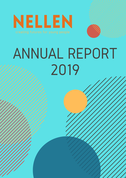NELLEN

# ANNUAL REPORT 2019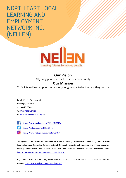### NORTH EAST LOCAL LEARNING AND EMPLOYMENT NETWORK INC. (NELLEN)



#### **Our Vision**

All young people are valued in our community

#### **Our Mission**

To facilitate diverse opportunities for young people to be the best they can be

Level 3/ 111-113 Hume St, Wodonga, Vic 3690 02) 6056 0966 W: www.nellen.org.au

E: administration@nellen.org.au



https://www.facebook.com/NELLEN2016/

https://twitter.com/NELLEN2016

https://www.instagram.com/nellen2016/

Throughout 2019 NELLEN's members received a monthly e-newsletter, distributing best practice information about Education, Employment and Community projects and programs, and sharing upcoming training opportunities and events. You can see archived editions of the newsletter here: https://www.nellen.org.au/resources-2/newsletters/

If you would like to join NELLEN, please complete an application form, which can be obtained from our website, https://www.nellen.org.au/membership/.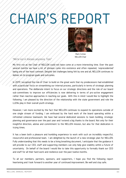# CHAIR'S REPORT



Mark Cottee NELLEN Chair

*"We're not in Kansas anymore, Toto"*

My first run as the Chair of NELLEN could not have come at a more interesting time. Over the past several months we have a lot of phrases come into existence and often repeated, 'unprecedented' being one of the most common. Despite the challenges being felt by one and all, NELLEN continues to deliver on its program goals and outcomes.

BILLION In 2019 I accepted the role of Chair to build on the great work that my predecessors had established with a particular focus on streamlining our internal process, particularly in terms of strategic planning and operations. The deliberate intent to focus on our strategic directions and the role of our board sub-committees to improve our efficiencies is now delivering in terms of pro-active engagement rather than reactive approaches in reaching our goals. With this in mind I would like to highlight the following. I am pleased by the direction of the relationship with the state government and role the LLENs play in their overall youth strategy.

However, I am more excited by the fact that NELLEN continues to expand its operations outside of one single stream of funding. I am enthused by the hard work of the board operating within a refreshed cohesive teamwork. We have had several dedicated sessions to team building, strategic planning and governance over the past year and I extend a big thanks to the board. Not only for their insightful direction, advise and commitment to the NELLEN mission, but also for that dedication in trying times.

It has a been both a pleasure and humbling experience to work with such an incredibly respectful, resourceful and professional team. I am delighted by the launch of a new strategic plan for NELLEN. Fully understanding that this needs to be a living breathing document, I anticipate that the guidance it will provide to our CEO, staff and supporting members can only help give stability within a future of uncertainty. On behalf of the board I would like to take this opportunity to formally thank our CEO and staff for all their hard work and resilience over the past twelve months.

To all our members, partners, sponsors, and supporters, I hope you find the following report heartening and I look forward to another year of continued improvement. Be well and stay safe.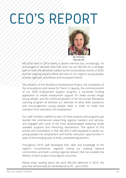## CEO'S REPORT



Bev Hoffmann NELLEN CEO

schools, agencies, businesses and local governments.<br>. NELLEN's work in 2019 seems a distant memory but, increasingly, I'm encouraged to discover how that work has set NELLEN on a strategic path to meet the demands created by the extraordinary events of 2020, and the ongoing impacts these will have on our region's young people,

The initiation of the Workforce Development Project, the completion of the consultations and review for There Is Capacity, the commencement of our NDIS Employment Support program, a successful funding application to initiate employment support for newly arrived refuge young people, and the continued growth of the Structured Workplace Learning program all directed our attention to what skills, assistance and encouragement young people need in order to make that transition from education into employment.

Our staff numbers swelled as each of these projects and programs got started. We commenced researching regional statistics and services, and engaged with some of the most disadvantaged, exploring locally available supports and mentoring mechanisms. The upshot of this activity and consultation is that NELLEN is well equipped to guide our young people into employment and further education opportunities in spite of the emerging and, at times, overwhelming barriers.

Throughout 2019, staff developed their skills and knowledge of the region's circumstances, regularly visiting our outlying regional communities, and built a strong regional network that has enabled the delivery of each project and program outcomes.

Please enjoy reading about the work NELLEN delivered in 2019, the year that will eternally be remembered as PC – pre-COVID.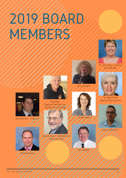# 2019 BOARD MEMBERS



Dr. Anne Ryan - on leave from Feb-Dec



Brett Bament - Treasurer



(Deputy Chair Jan-June Acting Chair June-Aug)



Graeme Sayer - resigned June (Chair Jan-June)



Jenny Gordon

Louise Lowe



Vern Hilditch



Dr. Kaye Harris Deputy Chair June-Dec



Warren Mirtschin



Bernie Boulton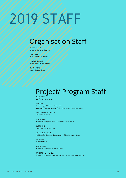# 2019 STAFF

## Organisation Staff

DEANNE TANNER Operations Manager - Nov-Dec

KIRSTI LONI Operations Officer - Feb-Nov

MARK WILLIAMSON Operations Manager - Jan-Feb

NAOMI PETERS Communications Officer

## Project/ Program Staff

BILLY MUNRO – Jan-Aug SWL School Liaison Officer

DAN GIBBS ESTeam Support Worker – Team Leader Structured Workplace Learning (SWL) Marketing and Promotions Officer

EMMA-LEIGH BLAKE Jan-Dec NDIS Support Officer

JULIE ALDOUS Workforce Development Industry Education Liaison Officer

KRISTIN KEMP Project Administration Officer

LUCIE WALLIS – Jan-Oct Workforce Development – Health Industry-Education Liaison Officer

MELISSA BELL Research Officer

NORM MADDEN Workforce Development Project Manager

SUE BRUNSKILL – Apr-Dec Workforce Development – Horticulture Industry-Education Liaison Officer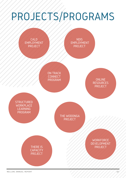# PROJECTS/PROGRAMS

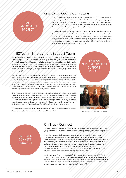#### Keys to Unlocking our Future

CALD EMPLOYMENT PROJECT

Keys to Unlocking our Future will develop local partnerships that deliver an employment program targeting the specific needs of the culturally and linguistically diverse, migrant and refugee community in Wodonga. The project will employ a part-time coordinator from January 2020 and aims to increase the collaborative response to young peoples needs as they exit Year 12 and commence job-seeking or job-creating activities.

The project is funded by the Department of Premier and Cabinet with the funds held by the Rural City of Wangaratta. Consultations with stakeholders commenced in September 2019 with participants including the Albury-Wodonga Ethnic Communities Council and the Albury Wodonga Volunteer Resource Bureau. The project's objective is to deliver the model's employment support program over a six-month period in 2020, with evaluation and report recommendations to be finalised in September 2020.

#### ESTeam - Employment Support Team

NELLEN's Employment Support initiative provides individual assistance to young people living with a disability aged 17 to 25 years who are transitioning from secondary schooling into employment. The introduction of the NDIS and, specifically, School Leaver Employment Supports (SLES) funding has enabled NELLEN to expand into the provision of one-on-one guidance for the most vulnerable young people in our community. The nature of our registration means we can support young people who have self- or agency-managed packages that results in these young people 'finding and keeping a job.

Our client work in this space began when NELLEN introduced a 'support team' approach and undertook its first Service Agreement in August 2018. Throughout 2019 the Employment Support Team (ESTeam), comprising Dan Gibbs, Emma-Leigh Blake and Kristin Kemp, offered clients the choice to work with male or female employment support workers. The client group grew from one to four clients with all four clients having had successful outcomes by the end of the year, either in the workforce or in training. With one client continuing into 2020, the ESTeam is looking forward to growing its client base and continuing to build networks.

Over the course of the year, the team promoted the employment support initiative by attending several local careers events held at Wodonga TAFE including the Wodonga Jobs Fair: Careers in Disability day in May, and Work ConnectED, Albury-Wodonga's hands-on careers event, in October. The team also attended meetings held by the Albury Wodonga Autism Community of Practice, presenting at a meeting on Employment and Autism in July; and were available to speak to Year 10 to 12 students and their families at Belvoir Special School's Post School Expo in August.

This employment support initiative is the most obvious indicator of NELLEN's mission 'to facilitate diverse opportunities for young people to be the best they can be.'

#### ESTEAM NDIS EMPLOYMENT SUPPORT PROJECT



Kristin Kemp, Dan Gibbs. Emma-Leigh Blake

#### ON TRACK **CONNECT** PROGRAM

#### On Track Connect

On Track is a Victorian Government initiative, launched in 2003, which is designed to ensure that young people are on a pathway to further education, training or employment after leaving school.

In late May each year, On Track surveys young people who left schools or other training organisations from Years 10-12 in the preceding year. The survey is designed to provide information on post-school destinations, and to identify young people not in education, training or full-time employment. This data provides a better understanding of outcomes from education as well as assisting the government to improve pathways planning both centrally and at the local level. Data on destinations is also published annually on a school by school basis. On Track Connect, as part of On Track, aims to assist those young people who have left school and, at the time of the survey, are not studying or in full time work.

Local Learning and Employment Networks (LLENs) managed the implementation of On Track Connect from its inception until 2009. Their role was to set up appropriate referral arrangements to provide advice to young people requesting further assistance about options for re-engagement with education, training or employment. LLENs also reported outcomes of the On Track Connect process back to the Department of Education and Training (DET).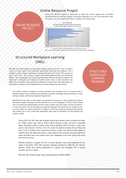#### Online Resource Project

During 2019, NELLEN explored an opportunity to collate and present regional data, and gather information about the services, programs and projects operating in our four local Government areas. This project is not yet completed but below is a sample of the collected data.

#### ONLINE RESOURCE PROJECT



Reference: Child and Youth Mental Health Victorian Auditor‐General's Report https://www.parliament.vic.gov.au/file\_uploads/050619-Youth-Mental-Health\_zbR3N9gg.pdf

#### Structured Workplace Learning (SWL)

NELLEN's Structured Workplace Learning (SWL) program connects Years 10, 11 and 12 students across our service region to work placement opportunities offered by local employers. SWL is available to school students undertaking a Vocational Education and Training (VET) program as part of their VCE or VCAL studies, including School Based Apprenticeships and Traineeships (SBATs). The 31 Statewide Local Learning and Employment Networks have been funded by the Department of Education and Training to facilitate student access to SWL placements and SBATs that are tailored to local priorities and employment opportunities. SWL opportunities are shared direct to teachers via the Statewide Portal, an online database and referral point.

SWL enables students to integrate on-the-job experience with secondary study. The program seeks to develop workplace skills, provide practical application of industry knowledge, enable achievement of some learning outcomes, and improve employment opportunities.

NELLEN's SWL team seeks to offer support and placement to those most in need, working with students with various complex challenges and those identified as at risk of disengaging. In 2019 our team focused more on working with disadvantaged and hard-to-place students with visits made to schools and business in rural communities. The team arranged and supported meaningful SWL placements for students across our service region in a variety of industries. In addition, the SWL team introduced motivational interviewing with students one on one to build their employability skills ready for placements, and this approach will continue in 2020.

During 2019, the SWL team also attended several local careers events including the Hands On Trades Career Expo, held at Winton Motor Raceway in May, and Work ConnectED, Albury-Wodonga's hands-on careers event, held at Wodonga TAFE in October. In July it was great to be involved in the Be a Force for Good info session involving Victoria Police and Year 11 and 12 students from several local schools. A team from Victorian Police spoke to students about the application process, career opportunities and their personal experiences within the police force, and students were then challenged to test their fitness with some entry-level exercises.

NELLEN continues to support the VET in Schools Network, which was established for our region in December 2018. With quarterly meetings facilitated by NELLEN, the initiative partners schools and training organisations to support and strengthen VET in Schools provision across our region.

NELLEN's SWL Facebook page: https://www.facebook.com/NELLENSWL

#### **STRUCTURED WORKPLACE** LEARNING PROGRAM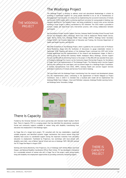#### THE WODONGA **PROJECT**

#### The Wodonga Project

The Wodonga Project is working to address social and educational disadvantage in schools by providing a coordinated response for young people identified to be at risk of homelessness or disengagement from education. It is doing this by implementing the successful Community of Schools and Services (COSS) model, which is achieving significant outcomes for young people in Geelong, now regularly identified as The Geelong Project, and being established in several sites across Australia including a sister project in Albury coordinated by YES Unlimited. The COSS model is grounded in systems change and data-driven early intervention practice, with strong collaboration between participants.

Key participants include Junction Support Services, Gateway Health (including School Focused Youth Service and headspace Albury Wodonga), North East Child & Adolescent Mental Health Service, Upper Murray Family Care, Wodonga Middle Years College (WMYC), Wodonga Senior Secondary College (WSSC), the Victorian Department of Education and Training, the Victorian Department of Health and Health Services, and NELLEN.

NELLEN's involvement in the Wodonga Project, which is guided by the successful work of Professor David MacKenzie, began with the facilitation of discussions to gauge stakeholder interest in September 2018. Planning and delivery of the Wodonga Project continued into 2019 with further funding applications and the implementation of the research and development stages. In March a working group was formed with Gateway Health, headspace Albury Wodonga, Junction Support Services and NELLEN all committing finance to the project. In May NELLEN was awarded three years of funding by Wodonga City Council, via the Community Impact Partnership Program, for the delivery of Stage Two of the implementation of The Wodonga Project. The following month Junction Support Services was ratified as the Lead Agent, and recruitment began for a Wodonga Project Coordinator. In October representatives from WSSC, WMYC, Gateway Health and Junction Support Services attended a Community of Schools and Services Forum held in Geelong.

The year ended with the Wodonga Project transitioning from the research and development phases into the implementation phase, culminating in the appointment of Rachel Habgood as Project Coordinator. Early in 2020 it is intended that a localised pilot model will be implemented into Wodonga Middle Years Colleges—Huon and Felltimber campuses, Wodonga Flexible Learning Centre and Wodonga Senior Secondary College.



#### There Is Capacity

Funded by the Victorian Women's Trust and in partnership with Women's Health Goulburn North East, There Is Capacity (TIC) is a scoping project that has identified the educational, vocational, formal and community supports available to women living with disability transitioning from education into employment in the Wodonga region.

As Stage One of a longer-term project, TIC consulted with the key stakeholders, researched suitable programs, and identified systemic trigger mechanisms that ensure women living with disability have access to coordinated support during the important transition from secondary education to employment. Facilitated by Projectura, two workshops with local women with disability were held—one at Belvoir Special School and one at Wodonga TAFE. NELLEN received the TIC Stage One Report in August 2019.

Working with Karina Bonnitcha, from Projectura, City of Wodonga staff Anthea Maher and Annie Hooper, and National Disability Coordination Officer Mark Cottee, TIC has developed a framework for a sustainable network of women who will, in Stage Two of the project, assist young women living with disability into employment opportunities by providing community mentoring support.

#### THERE IS **CAPACITY** PROJECT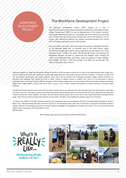#### **WORKFORCE** DEVELOPMENT PROJECT

#### The Workforce Development Project

The Workforce Development Project (WDP) expands on a Year 9 Agriculture/Horticulture pilot program developed and delivered at Mansfield Secondary College. Commencing in 2009, it is now an integrated part of the school's curriculum. The program addressed the need for a sustainable agriculture workforce by recruiting Year 9 students into agricultural careers through early contact with employers, such as farmers, then offering an enrolment into relevant Vocational Education and Training (VET) certificates presented by a local TAFE provider.

From July 2018 to June 2022, WDP will introduce this program, colloquially referred to as 'the Mansfield Model', into 24 education sites in the Ovens Murray region, concurrently extending the students industry experiences into the Health Care / Social Assistance sector. To deliver the project, NELLEN and NE Tracks Local Learning and Employment Network recruited an experienced and insightful team including the creator of the Mansfield Model, Julie Aldous. Under the guidance of Project Manager Norm Madden, the team in 2019 also included Lucie Wallis and Sue Brunskill—the Industry–Education Liaison Officers.

Following completion of Stage One (Introduction Phase) at the end of 2018, the project entered the first year of the Implementation Phase (Stage Two), which is marked by the liaison and coordination activities that engage education sites, business partners and Year 9 students. In Semester 2 of 2019, the first 20 students commenced in the projects program. These Year 9 and 10 students from Tallangatta Secondary College studied Certificate II in Agriculture with Wodonga TAFE visiting the school to deliver training. In addition, groups of students from Years 8 to 10 participated in industry workshops held on local farms from late 2018 and throughout 2019 including students from Corryong College, Mt Beauty Secondary College and Wodonga Middle Years College (WMYC). Towards the end of 2019, a group of Year 9 WMYC students participated in a Health workshop at Gateway Health Wodonga.

The WDP team thanks business owners and staff from industry, health services and education sites who have given their time and expertise to help make this project a success. The projects success is also heavily intertwined with government policy for schools and the VET sector, ideally with both education streams working more closely together. The project has two industry advisory groups, one for each sector, and a State Government interdepartmental group. These three key advisory bodies meet quarterly, and the project will deliver annual dashboard evaluation reports for distribution.

To improve the visibility of the WDP, marketing materials and a promotional video were developed in 2019 with the project being rebranded as 'What's it REALLY like… Matching learning with jobs: Certificate II @ Year 9'. The promotional video, titled 'Year 9 Certificate II in Agriculture: Mansfield Secondary College', showcases the prototype upon which the project is based and highlights the engagement of students and farmers. You can view the promotional video as well as the projects 2019 Annual Report on the WDP web page.

WDP Facebook page: https://www.facebook.com/WorkforceDevProject



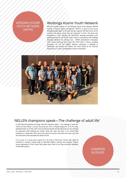#### WODONGA KOORIE YOUTH NETWORK (WKYN)

#### Wodonga Koorie Youth Network

NELLEN provides support to the Wodonga Koorie Youth Network (WKYN) through a financial auspice arrangement. WKYN is a group of local young Aboriginal people aged 12–25 years who get together with each other, do fun activities and discuss issues that are important to them. The group was established in 2017 following the BLACKOUT Wodonga Aboriginal youth gathering hosted by the Koorie Youth Council in partnership with Wodonga Aboriginal Network the previous year. WKYN's achievements throughout 2019 include launching their Action Plan 2019–2022 in March, providing presenters for the 8th SNAICC National Conference in Adelaide in September, and winning the Children and Youth Award at the Victorian Department of Justice and Regulation Awards in December.



#### NELLEN champions speak—The challenge of adult life'

In 2019 NELLEN published two blogs, 'NELLEN champions speak – The challenge of adult life', written by Sylva Mwala, a 23-year-old young man from a refugee background. In his first blog, published online on 24 May 2019, Sylva introduced himself and described how he was achieving his aspirations while balancing his studies, family life, sport and work. In his second blog, published on 4 September 2019, Sylva wrote about his arrival in Australia three years prior and the interactions that had helped him along the way.

If you know of a young person aged 18 to 25 living in North-east Victoria who might be interested in writing a regular blog for NELLEN's website, charting their progress towards secure employment in their chosen field, please direct them to our blog contributor guidelines on NELLEN's website.

#### **CHAMPION** BLOGGER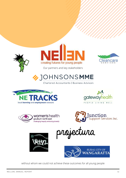





Our partners and key stakeholders

OHNSONSMME

Chartered Accountants | Business Advisors













without whom we could not achieve these outcomes for all young people